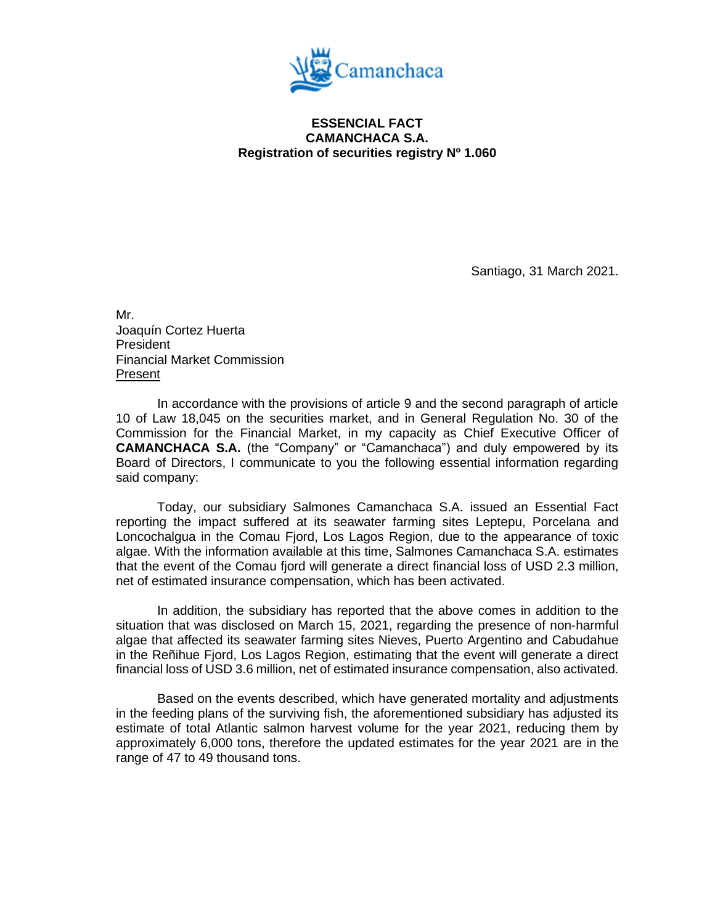

## **ESSENCIAL FACT CAMANCHACA S.A. Registration of securities registry Nº 1.060**

Santiago, 31 March 2021.

Mr. Joaquín Cortez Huerta President Financial Market Commission Present

In accordance with the provisions of article 9 and the second paragraph of article 10 of Law 18,045 on the securities market, and in General Regulation No. 30 of the Commission for the Financial Market, in my capacity as Chief Executive Officer of **CAMANCHACA S.A.** (the "Company" or "Camanchaca") and duly empowered by its Board of Directors, I communicate to you the following essential information regarding said company:

Today, our subsidiary Salmones Camanchaca S.A. issued an Essential Fact reporting the impact suffered at its seawater farming sites Leptepu, Porcelana and Loncochalgua in the Comau Fjord, Los Lagos Region, due to the appearance of toxic algae. With the information available at this time, Salmones Camanchaca S.A. estimates that the event of the Comau fjord will generate a direct financial loss of USD 2.3 million, net of estimated insurance compensation, which has been activated.

In addition, the subsidiary has reported that the above comes in addition to the situation that was disclosed on March 15, 2021, regarding the presence of non-harmful algae that affected its seawater farming sites Nieves, Puerto Argentino and Cabudahue in the Reñihue Fjord, Los Lagos Region, estimating that the event will generate a direct financial loss of USD 3.6 million, net of estimated insurance compensation, also activated.

Based on the events described, which have generated mortality and adjustments in the feeding plans of the surviving fish, the aforementioned subsidiary has adjusted its estimate of total Atlantic salmon harvest volume for the year 2021, reducing them by approximately 6,000 tons, therefore the updated estimates for the year 2021 are in the range of 47 to 49 thousand tons.